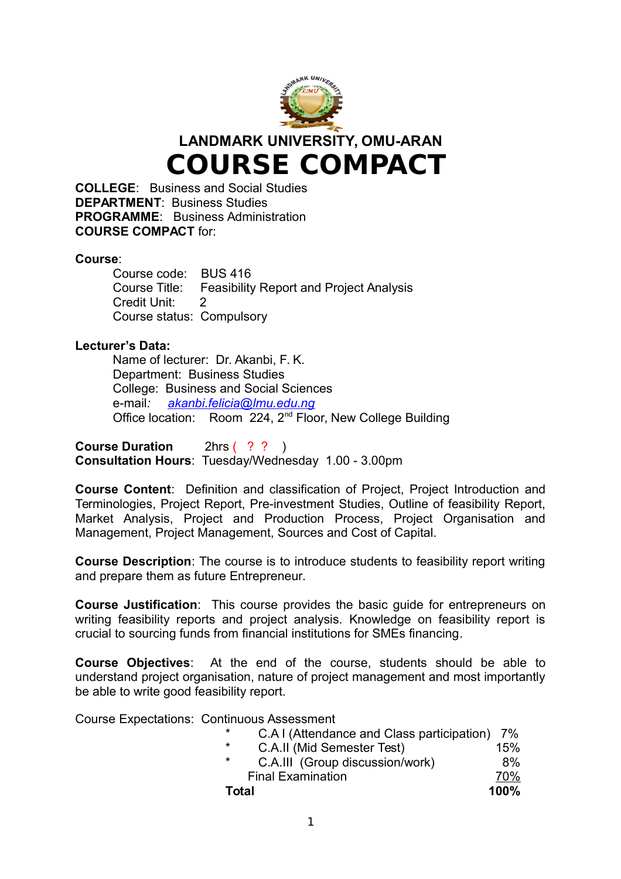

**LANDMARK UNIVERSITY, OMU-ARAN COURSE COMPACT** 

**COLLEGE**: Business and Social Studies **DEPARTMENT**: Business Studies **PROGRAMME**: Business Administration **COURSE COMPACT** for:

#### **Course**:

Course code: BUS 416 Course Title: Feasibility Report and Project Analysis Credit Unit: 2 Course status: Compulsory

#### **Lecturer's Data:**

Name of lecturer: Dr. Akanbi, F. K. Department: Business Studies College: Business and Social Sciences e-mail*: [akanbi.felicia@lmu.edu.ng](mailto:akanbi.felicia@lmu.edu.ng)* Office location: Room 224, 2<sup>nd</sup> Floor, New College Building

**Course Duration** 2hrs ( ? ? ) **Consultation Hours**: Tuesday/Wednesday 1.00 - 3.00pm

**Course Content**: Definition and classification of Project, Project Introduction and Terminologies, Project Report, Pre-investment Studies, Outline of feasibility Report, Market Analysis, Project and Production Process, Project Organisation and Management, Project Management, Sources and Cost of Capital.

**Course Description**: The course is to introduce students to feasibility report writing and prepare them as future Entrepreneur.

**Course Justification:** This course provides the basic quide for entrepreneurs on writing feasibility reports and project analysis. Knowledge on feasibility report is crucial to sourcing funds from financial institutions for SMEs financing.

**Course Objectives**: At the end of the course, students should be able to understand project organisation, nature of project management and most importantly be able to write good feasibility report.

Course Expectations: Continuous Assessment

| $\star$<br>C.A.I (Attendance and Class participation) 7% |      |
|----------------------------------------------------------|------|
| $\star$<br>C.A.II (Mid Semester Test)                    | 15%  |
| $\star$<br>C.A.III (Group discussion/work)               | 8%   |
| <b>Final Examination</b>                                 | 70%  |
| Total                                                    | 100% |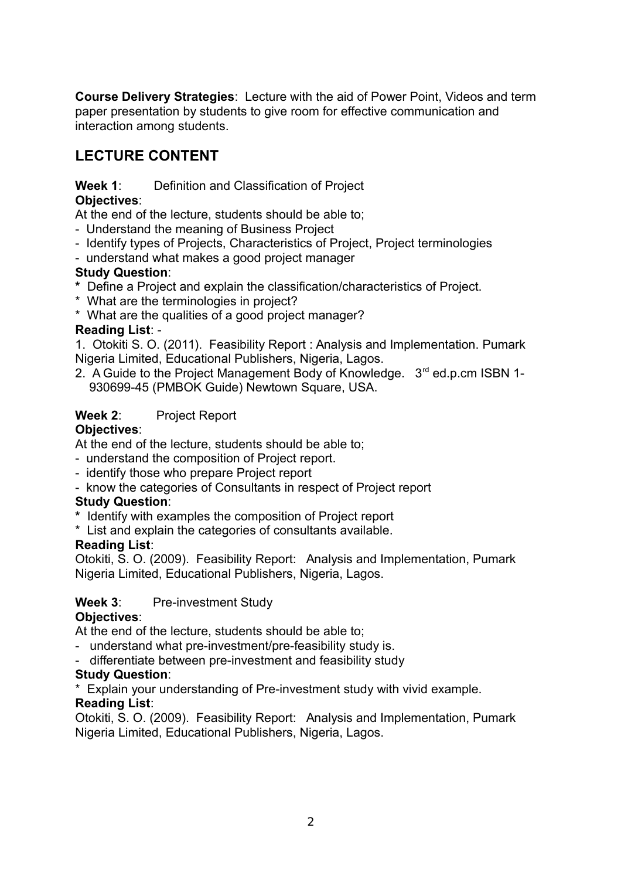**Course Delivery Strategies**: Lecture with the aid of Power Point, Videos and term paper presentation by students to give room for effective communication and interaction among students.

# **LECTURE CONTENT**

#### **Week 1**: Definition and Classification of Project **Objectives**:

At the end of the lecture, students should be able to;

- Understand the meaning of Business Project
- Identify types of Projects, Characteristics of Project, Project terminologies
- understand what makes a good project manager

### **Study Question**:

- **\*** Define a Project and explain the classification/characteristics of Project.
- \* What are the terminologies in project?
- \* What are the qualities of a good project manager?

### **Reading List**: -

1. Otokiti S. O. (2011). Feasibility Report : Analysis and Implementation. Pumark Nigeria Limited, Educational Publishers, Nigeria, Lagos.

2. A Guide to the Project Management Body of Knowledge. 3<sup>rd</sup> ed.p.cm ISBN 1-930699-45 (PMBOK Guide) Newtown Square, USA.

# **Week 2**: Project Report

### **Objectives**:

At the end of the lecture, students should be able to;

- understand the composition of Project report.
- identify those who prepare Project report
- know the categories of Consultants in respect of Project report

### **Study Question**:

- **\*** Identify with examples the composition of Project report
- \* List and explain the categories of consultants available.

### **Reading List**:

Otokiti, S. O. (2009). Feasibility Report: Analysis and Implementation, Pumark Nigeria Limited, Educational Publishers, Nigeria, Lagos.

### Week 3: Pre-investment Study

#### **Objectives**:

At the end of the lecture, students should be able to;

- understand what pre-investment/pre-feasibility study is.
- differentiate between pre-investment and feasibility study

#### **Study Question**:

\* Explain your understanding of Pre-investment study with vivid example. **Reading List**:

Otokiti, S. O. (2009). Feasibility Report: Analysis and Implementation, Pumark Nigeria Limited, Educational Publishers, Nigeria, Lagos.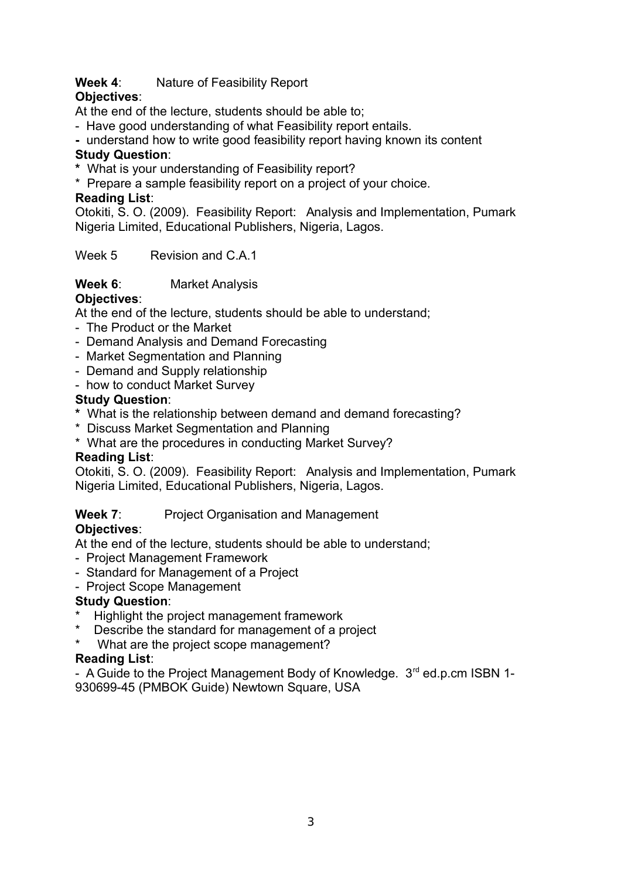# **Week 4**: Nature of Feasibility Report

# **Objectives**:

At the end of the lecture, students should be able to;

- Have good understanding of what Feasibility report entails.
- understand how to write good feasibility report having known its content

# **Study Question**:

- **\*** What is your understanding of Feasibility report?
- \* Prepare a sample feasibility report on a project of your choice.

### **Reading List**:

Otokiti, S. O. (2009). Feasibility Report: Analysis and Implementation, Pumark Nigeria Limited, Educational Publishers, Nigeria, Lagos.

Week 5 Revision and C A 1

# **Week 6**: Market Analysis

# **Objectives**:

At the end of the lecture, students should be able to understand;

- The Product or the Market
- Demand Analysis and Demand Forecasting
- Market Segmentation and Planning
- Demand and Supply relationship
- how to conduct Market Survey

# **Study Question**:

- **\*** What is the relationship between demand and demand forecasting?
- \* Discuss Market Segmentation and Planning
- \* What are the procedures in conducting Market Survey?

### **Reading List**:

Otokiti, S. O. (2009). Feasibility Report: Analysis and Implementation, Pumark Nigeria Limited, Educational Publishers, Nigeria, Lagos.

### **Week 7:** Project Organisation and Management

# **Objectives**:

At the end of the lecture, students should be able to understand;

- Project Management Framework
- Standard for Management of a Project
- Project Scope Management

### **Study Question**:

- \* Highlight the project management framework
- Describe the standard for management of a project
- What are the project scope management?

### **Reading List**:

- A Guide to the Project Management Body of Knowledge. 3<sup>rd</sup> ed.p.cm ISBN 1-930699-45 (PMBOK Guide) Newtown Square, USA